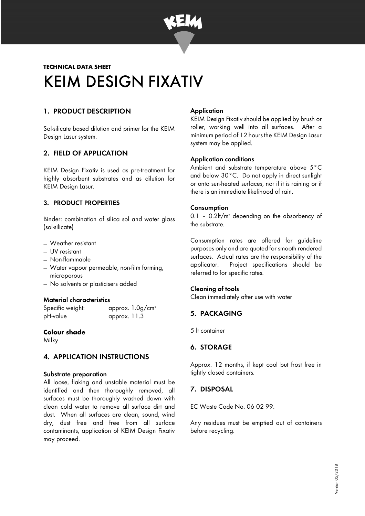

# **TECHNICAL DATA SHEET**  KEIM DESIGN FIXATIV

## 1. PRODUCT DESCRIPTION

Sol-silicate based dilution and primer for the KEIM Design Lasur system.

### 2. FIELD OF APPLICATION

KEIM Design Fixativ is used as pre-treatment for highly absorbent substrates and as dilution for KEIM Design Lasur.

### 3. PRODUCT PROPERTIES

Binder: combination of silica sol and water glass (sol-silicate)

- − Weather resistant
- − UV resistant
- − Non-flammable
- − Water vapour permeable, non-film forming, microporous
- − No solvents or plasticisers added

#### Material characteristics

Specific weight: approx. 1.0g/cm<sup>3</sup> pH-value approx. 11.3

#### **Colour shade**

Milky

### 4. APPLICATION INSTRUCTIONS

#### Substrate preparation

All loose, flaking and unstable material must be identified and then thoroughly removed, all surfaces must be thoroughly washed down with clean cold water to remove all surface dirt and dust. When all surfaces are clean, sound, wind dry, dust free and free from all surface contaminants, application of KEIM Design Fixativ may proceed.

#### **Application**

KEIM Design Fixativ should be applied by brush or roller, working well into all surfaces. After a minimum period of 12 hours the KEIM Design Lasur system may be applied.

#### Application conditions

Ambient and substrate temperature above 5°C and below 30°C. Do not apply in direct sunlight or onto sun-heated surfaces, nor if it is raining or if there is an immediate likelihood of rain.

#### **Consumption**

 $0.1$  –  $0.2$ lt/m<sup>2</sup> depending on the absorbency of the substrate.

Consumption rates are offered for guideline purposes only and are quoted for smooth rendered surfaces. Actual rates are the responsibility of the applicator. Project specifications should be referred to for specific rates.

### Cleaning of tools

Clean immediately after use with water

## 5. PACKAGING

5 lt container

### 6. STORAGE

Approx. 12 months, if kept cool but frost free in tightly closed containers.

## 7. DISPOSAL

EC Waste Code No. 06 02 99.

Any residues must be emptied out of containers before recycling.